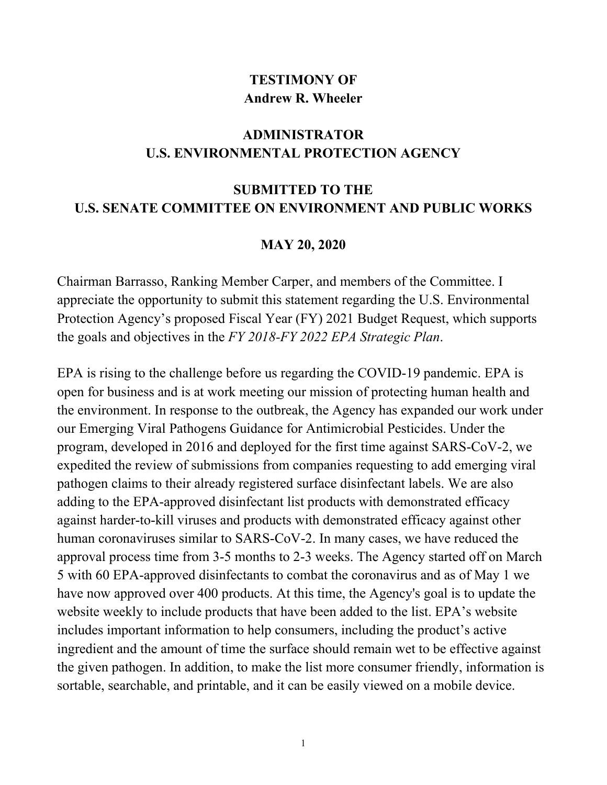## **TESTIMONY OF Andrew R. Wheeler**

## **ADMINISTRATOR U.S. ENVIRONMENTAL PROTECTION AGENCY**

## **SUBMITTED TO THE U.S. SENATE COMMITTEE ON ENVIRONMENT AND PUBLIC WORKS**

## **MAY 20, 2020**

Chairman Barrasso, Ranking Member Carper, and members of the Committee. I appreciate the opportunity to submit this statement regarding the U.S. Environmental Protection Agency's proposed Fiscal Year (FY) 2021 Budget Request, which supports the goals and objectives in the *FY 2018-FY 2022 EPA Strategic Plan*.

EPA is rising to the challenge before us regarding the COVID-19 pandemic. EPA is open for business and is at work meeting our mission of protecting human health and the environment. In response to the outbreak, the Agency has expanded our work under our Emerging Viral Pathogens Guidance for Antimicrobial Pesticides. Under the program, developed in 2016 and deployed for the first time against SARS-CoV-2, we expedited the review of submissions from companies requesting to add emerging viral pathogen claims to their already registered surface disinfectant labels. We are also adding to the EPA-approved disinfectant list products with demonstrated efficacy against harder-to-kill viruses and products with demonstrated efficacy against other human coronaviruses similar to SARS-CoV-2. In many cases, we have reduced the approval process time from 3-5 months to 2-3 weeks. The Agency started off on March 5 with 60 EPA-approved disinfectants to combat the coronavirus and as of May 1 we have now approved over 400 products. At this time, the Agency's goal is to update the website weekly to include products that have been added to the list. EPA's website includes important information to help consumers, including the product's active ingredient and the amount of time the surface should remain wet to be effective against the given pathogen. In addition, to make the list more consumer friendly, information is sortable, searchable, and printable, and it can be easily viewed on a mobile device.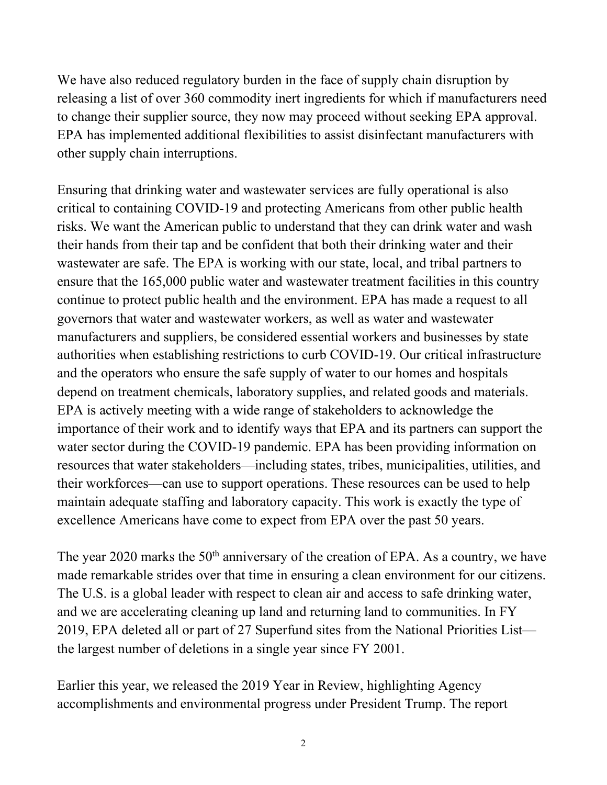We have also reduced regulatory burden in the face of supply chain disruption by releasing a list of over 360 commodity inert ingredients for which if manufacturers need to change their supplier source, they now may proceed without seeking EPA approval. EPA has implemented additional flexibilities to assist disinfectant manufacturers with other supply chain interruptions.

Ensuring that drinking water and wastewater services are fully operational is also critical to containing COVID-19 and protecting Americans from other public health risks. We want the American public to understand that they can drink water and wash their hands from their tap and be confident that both their drinking water and their wastewater are safe. The EPA is working with our state, local, and tribal partners to ensure that the 165,000 public water and wastewater treatment facilities in this country continue to protect public health and the environment. EPA has made a request to all governors that water and wastewater workers, as well as water and wastewater manufacturers and suppliers, be considered essential workers and businesses by state authorities when establishing restrictions to curb COVID-19. Our critical infrastructure and the operators who ensure the safe supply of water to our homes and hospitals depend on treatment chemicals, laboratory supplies, and related goods and materials. EPA is actively meeting with a wide range of stakeholders to acknowledge the importance of their work and to identify ways that EPA and its partners can support the water sector during the COVID-19 pandemic. EPA has been providing information on resources that water stakeholders—including states, tribes, municipalities, utilities, and their workforces—can use to support operations. These resources can be used to help maintain adequate staffing and laboratory capacity. This work is exactly the type of excellence Americans have come to expect from EPA over the past 50 years.

The year 2020 marks the  $50<sup>th</sup>$  anniversary of the creation of EPA. As a country, we have made remarkable strides over that time in ensuring a clean environment for our citizens. The U.S. is a global leader with respect to clean air and access to safe drinking water, and we are accelerating cleaning up land and returning land to communities. In FY 2019, EPA deleted all or part of 27 Superfund sites from the National Priorities List the largest number of deletions in a single year since FY 2001.

Earlier this year, we released the 2019 Year in Review, highlighting Agency accomplishments and environmental progress under President Trump. The report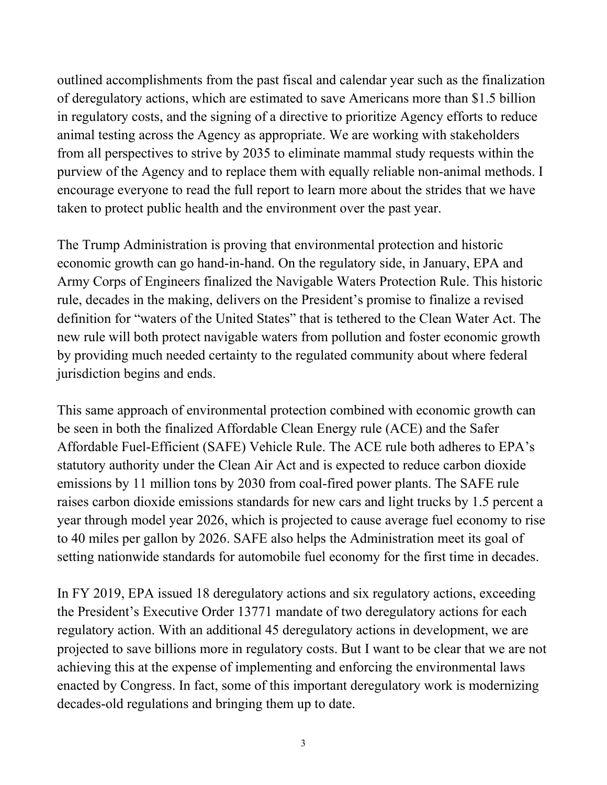outlined accomplishments from the past fiscal and calendar year such as the finalization of deregulatory actions, which are estimated to save Americans more than \$1.5 billion in regulatory costs, and the signing of a directive to prioritize Agency efforts to reduce animal testing across the Agency as appropriate. We are working with stakeholders from all perspectives to strive by 2035 to eliminate mammal study requests within the purview of the Agency and to replace them with equally reliable non-animal methods. I encourage everyone to read the full report to learn more about the strides that we have taken to protect public health and the environment over the past year.

The Trump Administration is proving that environmental protection and historic economic growth can go hand-in-hand. On the regulatory side, in January, EPA and Army Corps of Engineers finalized the Navigable Waters Protection Rule. This historic rule, decades in the making, delivers on the President's promise to finalize a revised definition for "waters of the United States" that is tethered to the Clean Water Act. The new rule will both protect navigable waters from pollution and foster economic growth by providing much needed certainty to the regulated community about where federal jurisdiction begins and ends.

This same approach of environmental protection combined with economic growth can be seen in both the finalized Affordable Clean Energy rule (ACE) and the Safer Affordable Fuel-Efficient (SAFE) Vehicle Rule. The ACE rule both adheres to EPA's statutory authority under the Clean Air Act and is expected to reduce carbon dioxide emissions by 11 million tons by 2030 from coal-fired power plants. The SAFE rule raises carbon dioxide emissions standards for new cars and light trucks by 1.5 percent a year through model year 2026, which is projected to cause average fuel economy to rise to 40 miles per gallon by 2026. SAFE also helps the Administration meet its goal of setting nationwide standards for automobile fuel economy for the first time in decades.

In FY 2019, EPA issued 18 deregulatory actions and six regulatory actions, exceeding the President's Executive Order 13771 mandate of two deregulatory actions for each regulatory action. With an additional 45 deregulatory actions in development, we are projected to save billions more in regulatory costs. But I want to be clear that we are not achieving this at the expense of implementing and enforcing the environmental laws enacted by Congress. In fact, some of this important deregulatory work is modernizing decades-old regulations and bringing them up to date.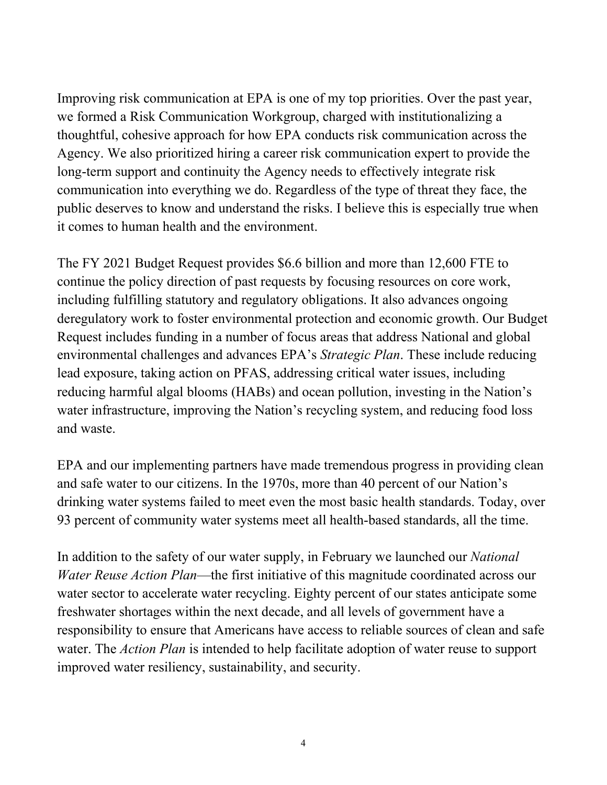Improving risk communication at EPA is one of my top priorities. Over the past year, we formed a Risk Communication Workgroup, charged with institutionalizing a thoughtful, cohesive approach for how EPA conducts risk communication across the Agency. We also prioritized hiring a career risk communication expert to provide the long-term support and continuity the Agency needs to effectively integrate risk communication into everything we do. Regardless of the type of threat they face, the public deserves to know and understand the risks. I believe this is especially true when it comes to human health and the environment.

The FY 2021 Budget Request provides \$6.6 billion and more than 12,600 FTE to continue the policy direction of past requests by focusing resources on core work, including fulfilling statutory and regulatory obligations. It also advances ongoing deregulatory work to foster environmental protection and economic growth. Our Budget Request includes funding in a number of focus areas that address National and global environmental challenges and advances EPA's *Strategic Plan*. These include reducing lead exposure, taking action on PFAS, addressing critical water issues, including reducing harmful algal blooms (HABs) and ocean pollution, investing in the Nation's water infrastructure, improving the Nation's recycling system, and reducing food loss and waste.

EPA and our implementing partners have made tremendous progress in providing clean and safe water to our citizens. In the 1970s, more than 40 percent of our Nation's drinking water systems failed to meet even the most basic health standards. Today, over 93 percent of community water systems meet all health-based standards, all the time.

In addition to the safety of our water supply, in February we launched our *National Water Reuse Action Plan*—the first initiative of this magnitude coordinated across our water sector to accelerate water recycling. Eighty percent of our states anticipate some freshwater shortages within the next decade, and all levels of government have a responsibility to ensure that Americans have access to reliable sources of clean and safe water. The *Action Plan* is intended to help facilitate adoption of water reuse to support improved water resiliency, sustainability, and security.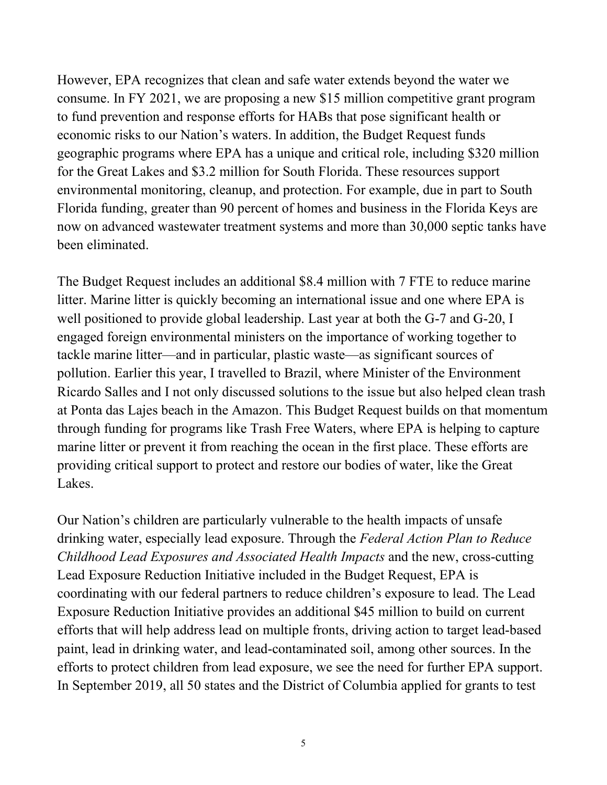However, EPA recognizes that clean and safe water extends beyond the water we consume. In FY 2021, we are proposing a new \$15 million competitive grant program to fund prevention and response efforts for HABs that pose significant health or economic risks to our Nation's waters. In addition, the Budget Request funds geographic programs where EPA has a unique and critical role, including \$320 million for the Great Lakes and \$3.2 million for South Florida. These resources support environmental monitoring, cleanup, and protection. For example, due in part to South Florida funding, greater than 90 percent of homes and business in the Florida Keys are now on advanced wastewater treatment systems and more than 30,000 septic tanks have been eliminated.

The Budget Request includes an additional \$8.4 million with 7 FTE to reduce marine litter. Marine litter is quickly becoming an international issue and one where EPA is well positioned to provide global leadership. Last year at both the G-7 and G-20, I engaged foreign environmental ministers on the importance of working together to tackle marine litter—and in particular, plastic waste—as significant sources of pollution. Earlier this year, I travelled to Brazil, where Minister of the Environment Ricardo Salles and I not only discussed solutions to the issue but also helped clean trash at Ponta das Lajes beach in the Amazon. This Budget Request builds on that momentum through funding for programs like Trash Free Waters, where EPA is helping to capture marine litter or prevent it from reaching the ocean in the first place. These efforts are providing critical support to protect and restore our bodies of water, like the Great Lakes.

Our Nation's children are particularly vulnerable to the health impacts of unsafe drinking water, especially lead exposure. Through the *Federal Action Plan to Reduce Childhood Lead Exposures and Associated Health Impacts* and the new, cross-cutting Lead Exposure Reduction Initiative included in the Budget Request, EPA is coordinating with our federal partners to reduce children's exposure to lead. The Lead Exposure Reduction Initiative provides an additional \$45 million to build on current efforts that will help address lead on multiple fronts, driving action to target lead-based paint, lead in drinking water, and lead-contaminated soil, among other sources. In the efforts to protect children from lead exposure, we see the need for further EPA support. In September 2019, all 50 states and the District of Columbia applied for grants to test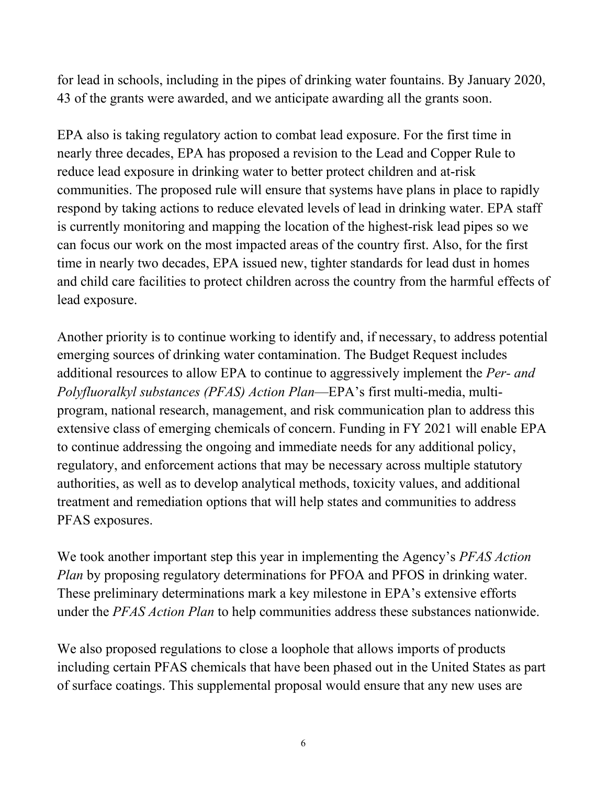for lead in schools, including in the pipes of drinking water fountains. By January 2020, 43 of the grants were awarded, and we anticipate awarding all the grants soon.

EPA also is taking regulatory action to combat lead exposure. For the first time in nearly three decades, EPA has proposed a revision to the Lead and Copper Rule to reduce lead exposure in drinking water to better protect children and at-risk communities. The proposed rule will ensure that systems have plans in place to rapidly respond by taking actions to reduce elevated levels of lead in drinking water. EPA staff is currently monitoring and mapping the location of the highest-risk lead pipes so we can focus our work on the most impacted areas of the country first. Also, for the first time in nearly two decades, EPA issued new, tighter standards for lead dust in homes and child care facilities to protect children across the country from the harmful effects of lead exposure.

Another priority is to continue working to identify and, if necessary, to address potential emerging sources of drinking water contamination. The Budget Request includes additional resources to allow EPA to continue to aggressively implement the *Per- and Polyfluoralkyl substances (PFAS) Action Plan*—EPA's first multi-media, multiprogram, national research, management, and risk communication plan to address this extensive class of emerging chemicals of concern. Funding in FY 2021 will enable EPA to continue addressing the ongoing and immediate needs for any additional policy, regulatory, and enforcement actions that may be necessary across multiple statutory authorities, as well as to develop analytical methods, toxicity values, and additional treatment and remediation options that will help states and communities to address PFAS exposures.

We took another important step this year in implementing the Agency's *PFAS Action Plan* by proposing regulatory determinations for PFOA and PFOS in drinking water. These preliminary determinations mark a key milestone in EPA's extensive efforts under the *PFAS Action Plan* to help communities address these substances nationwide.

We also proposed regulations to close a loophole that allows imports of products including certain PFAS chemicals that have been phased out in the United States as part of surface coatings. This supplemental proposal would ensure that any new uses are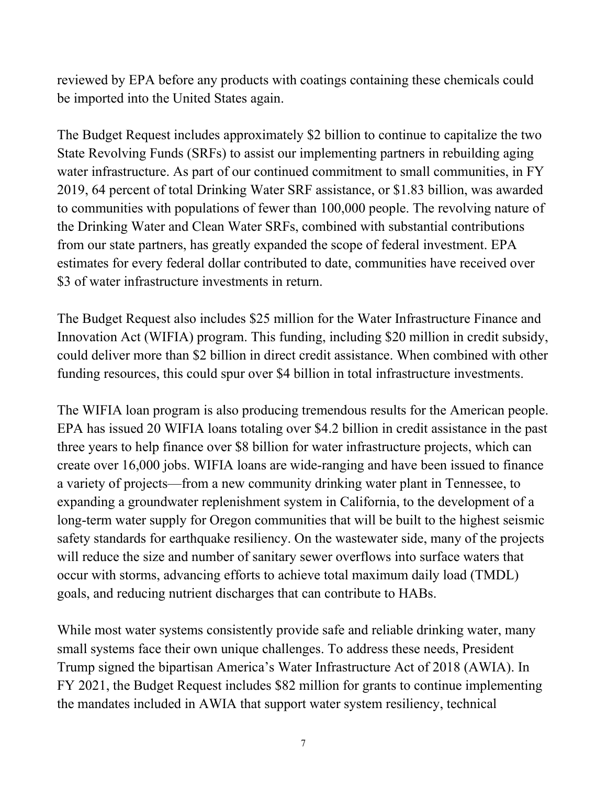reviewed by EPA before any products with coatings containing these chemicals could be imported into the United States again.

The Budget Request includes approximately \$2 billion to continue to capitalize the two State Revolving Funds (SRFs) to assist our implementing partners in rebuilding aging water infrastructure. As part of our continued commitment to small communities, in FY 2019, 64 percent of total Drinking Water SRF assistance, or \$1.83 billion, was awarded to communities with populations of fewer than 100,000 people. The revolving nature of the Drinking Water and Clean Water SRFs, combined with substantial contributions from our state partners, has greatly expanded the scope of federal investment. EPA estimates for every federal dollar contributed to date, communities have received over \$3 of water infrastructure investments in return.

The Budget Request also includes \$25 million for the Water Infrastructure Finance and Innovation Act (WIFIA) program. This funding, including \$20 million in credit subsidy, could deliver more than \$2 billion in direct credit assistance. When combined with other funding resources, this could spur over \$4 billion in total infrastructure investments.

The WIFIA loan program is also producing tremendous results for the American people. EPA has issued 20 WIFIA loans totaling over \$4.2 billion in credit assistance in the past three years to help finance over \$8 billion for water infrastructure projects, which can create over 16,000 jobs. WIFIA loans are wide-ranging and have been issued to finance a variety of projects—from a new community drinking water plant in Tennessee, to expanding a groundwater replenishment system in California, to the development of a long-term water supply for Oregon communities that will be built to the highest seismic safety standards for earthquake resiliency. On the wastewater side, many of the projects will reduce the size and number of sanitary sewer overflows into surface waters that occur with storms, advancing efforts to achieve total maximum daily load (TMDL) goals, and reducing nutrient discharges that can contribute to HABs.

While most water systems consistently provide safe and reliable drinking water, many small systems face their own unique challenges. To address these needs, President Trump signed the bipartisan America's Water Infrastructure Act of 2018 (AWIA). In FY 2021, the Budget Request includes \$82 million for grants to continue implementing the mandates included in AWIA that support water system resiliency, technical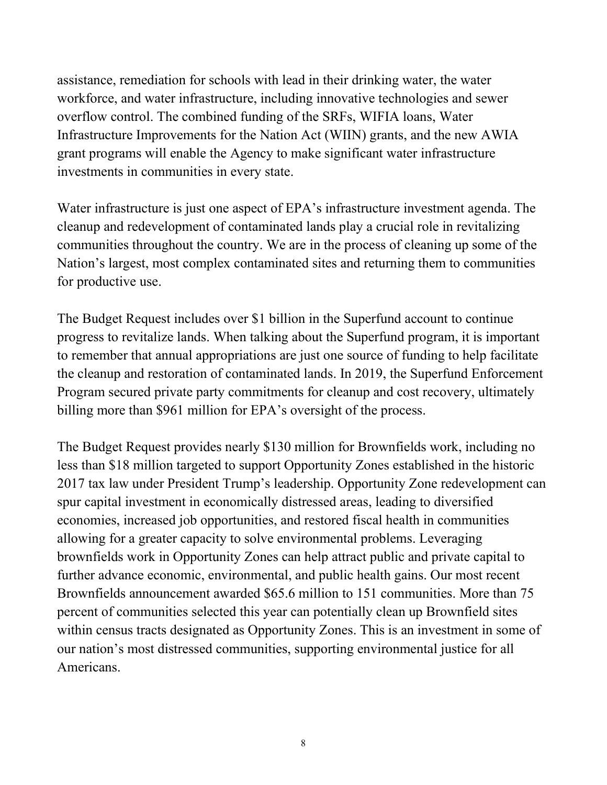assistance, remediation for schools with lead in their drinking water, the water workforce, and water infrastructure, including innovative technologies and sewer overflow control. The combined funding of the SRFs, WIFIA loans, Water Infrastructure Improvements for the Nation Act (WIIN) grants, and the new AWIA grant programs will enable the Agency to make significant water infrastructure investments in communities in every state.

Water infrastructure is just one aspect of EPA's infrastructure investment agenda. The cleanup and redevelopment of contaminated lands play a crucial role in revitalizing communities throughout the country. We are in the process of cleaning up some of the Nation's largest, most complex contaminated sites and returning them to communities for productive use.

The Budget Request includes over \$1 billion in the Superfund account to continue progress to revitalize lands. When talking about the Superfund program, it is important to remember that annual appropriations are just one source of funding to help facilitate the cleanup and restoration of contaminated lands. In 2019, the Superfund Enforcement Program secured private party commitments for cleanup and cost recovery, ultimately billing more than \$961 million for EPA's oversight of the process.

The Budget Request provides nearly \$130 million for Brownfields work, including no less than \$18 million targeted to support Opportunity Zones established in the historic 2017 tax law under President Trump's leadership. Opportunity Zone redevelopment can spur capital investment in economically distressed areas, leading to diversified economies, increased job opportunities, and restored fiscal health in communities allowing for a greater capacity to solve environmental problems. Leveraging brownfields work in Opportunity Zones can help attract public and private capital to further advance economic, environmental, and public health gains. Our most recent Brownfields announcement awarded \$65.6 million to 151 communities. More than 75 percent of communities selected this year can potentially clean up Brownfield sites within census tracts designated as Opportunity Zones. This is an investment in some of our nation's most distressed communities, supporting environmental justice for all Americans.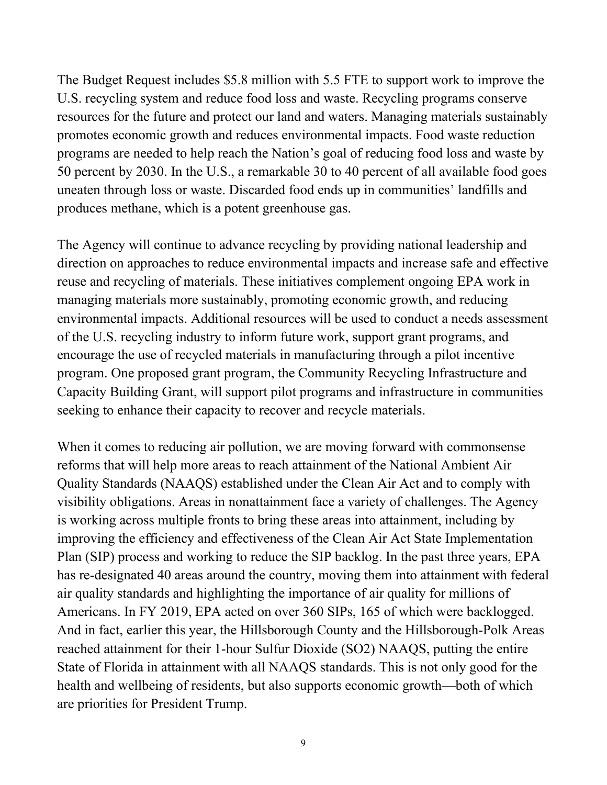The Budget Request includes \$5.8 million with 5.5 FTE to support work to improve the U.S. recycling system and reduce food loss and waste. Recycling programs conserve resources for the future and protect our land and waters. Managing materials sustainably promotes economic growth and reduces environmental impacts. Food waste reduction programs are needed to help reach the Nation's goal of reducing food loss and waste by 50 percent by 2030. In the U.S., a remarkable 30 to 40 percent of all available food goes uneaten through loss or waste. Discarded food ends up in communities' landfills and produces methane, which is a potent greenhouse gas.

The Agency will continue to advance recycling by providing national leadership and direction on approaches to reduce environmental impacts and increase safe and effective reuse and recycling of materials. These initiatives complement ongoing EPA work in managing materials more sustainably, promoting economic growth, and reducing environmental impacts. Additional resources will be used to conduct a needs assessment of the U.S. recycling industry to inform future work, support grant programs, and encourage the use of recycled materials in manufacturing through a pilot incentive program. One proposed grant program, the Community Recycling Infrastructure and Capacity Building Grant, will support pilot programs and infrastructure in communities seeking to enhance their capacity to recover and recycle materials.

When it comes to reducing air pollution, we are moving forward with commonsense reforms that will help more areas to reach attainment of the National Ambient Air Quality Standards (NAAQS) established under the Clean Air Act and to comply with visibility obligations. Areas in nonattainment face a variety of challenges. The Agency is working across multiple fronts to bring these areas into attainment, including by improving the efficiency and effectiveness of the Clean Air Act State Implementation Plan (SIP) process and working to reduce the SIP backlog. In the past three years, EPA has re-designated 40 areas around the country, moving them into attainment with federal air quality standards and highlighting the importance of air quality for millions of Americans. In FY 2019, EPA acted on over 360 SIPs, 165 of which were backlogged. And in fact, earlier this year, the Hillsborough County and the Hillsborough-Polk Areas reached attainment for their 1-hour Sulfur Dioxide (SO2) NAAQS, putting the entire State of Florida in attainment with all NAAQS standards. This is not only good for the health and wellbeing of residents, but also supports economic growth—both of which are priorities for President Trump.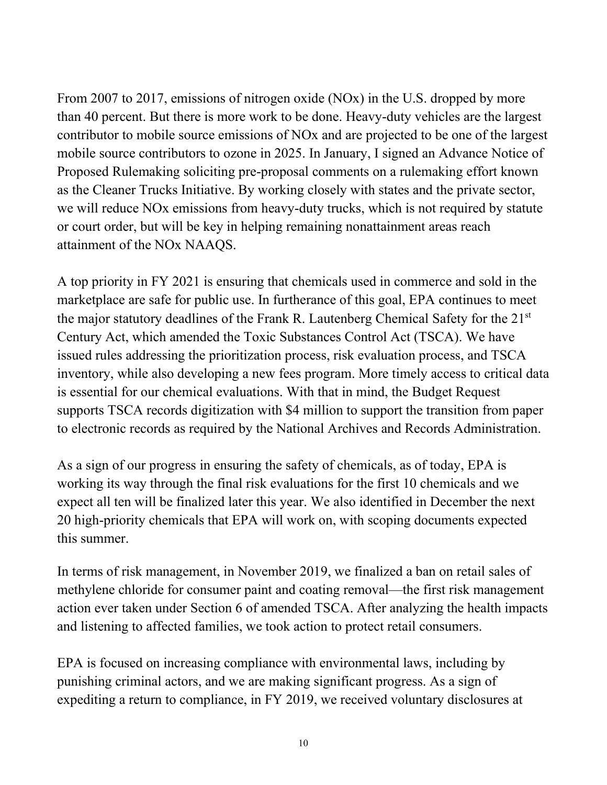From 2007 to 2017, emissions of nitrogen oxide (NOx) in the U.S. dropped by more than 40 percent. But there is more work to be done. Heavy-duty vehicles are the largest contributor to mobile source emissions of NOx and are projected to be one of the largest mobile source contributors to ozone in 2025. In January, I signed an Advance Notice of Proposed Rulemaking soliciting pre-proposal comments on a rulemaking effort known as the Cleaner Trucks Initiative. By working closely with states and the private sector, we will reduce NOx emissions from heavy-duty trucks, which is not required by statute or court order, but will be key in helping remaining nonattainment areas reach attainment of the NOx NAAQS.

A top priority in FY 2021 is ensuring that chemicals used in commerce and sold in the marketplace are safe for public use. In furtherance of this goal, EPA continues to meet the major statutory deadlines of the Frank R. Lautenberg Chemical Safety for the 21st Century Act, which amended the Toxic Substances Control Act (TSCA). We have issued rules addressing the prioritization process, risk evaluation process, and TSCA inventory, while also developing a new fees program. More timely access to critical data is essential for our chemical evaluations. With that in mind, the Budget Request supports TSCA records digitization with \$4 million to support the transition from paper to electronic records as required by the National Archives and Records Administration.

As a sign of our progress in ensuring the safety of chemicals, as of today, EPA is working its way through the final risk evaluations for the first 10 chemicals and we expect all ten will be finalized later this year. We also identified in December the next 20 high-priority chemicals that EPA will work on, with scoping documents expected this summer.

In terms of risk management, in November 2019, we finalized a ban on retail sales of methylene chloride for consumer paint and coating removal—the first risk management action ever taken under Section 6 of amended TSCA. After analyzing the health impacts and listening to affected families, we took action to protect retail consumers.

EPA is focused on increasing compliance with environmental laws, including by punishing criminal actors, and we are making significant progress. As a sign of expediting a return to compliance, in FY 2019, we received voluntary disclosures at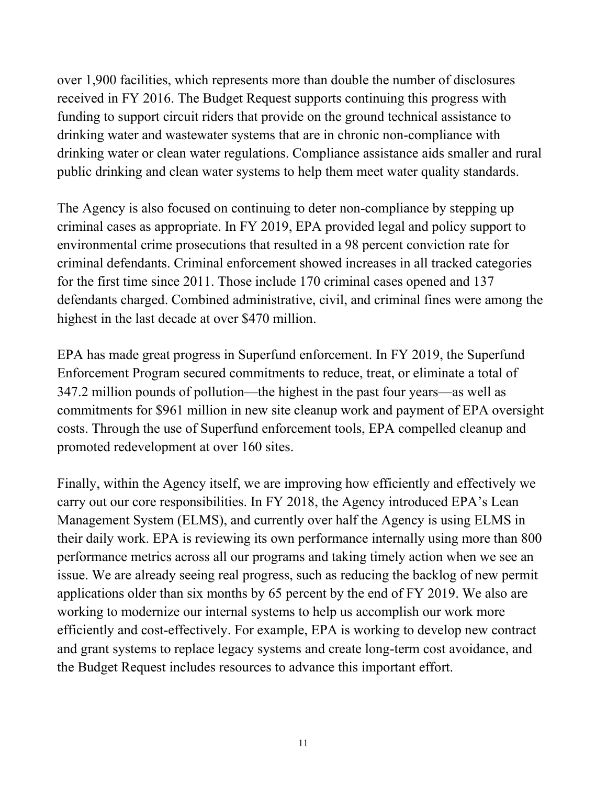over 1,900 facilities, which represents more than double the number of disclosures received in FY 2016. The Budget Request supports continuing this progress with funding to support circuit riders that provide on the ground technical assistance to drinking water and wastewater systems that are in chronic non-compliance with drinking water or clean water regulations. Compliance assistance aids smaller and rural public drinking and clean water systems to help them meet water quality standards.

The Agency is also focused on continuing to deter non-compliance by stepping up criminal cases as appropriate. In FY 2019, EPA provided legal and policy support to environmental crime prosecutions that resulted in a 98 percent conviction rate for criminal defendants. Criminal enforcement showed increases in all tracked categories for the first time since 2011. Those include 170 criminal cases opened and 137 defendants charged. Combined administrative, civil, and criminal fines were among the highest in the last decade at over \$470 million.

EPA has made great progress in Superfund enforcement. In FY 2019, the Superfund Enforcement Program secured commitments to reduce, treat, or eliminate a total of 347.2 million pounds of pollution—the highest in the past four years—as well as commitments for \$961 million in new site cleanup work and payment of EPA oversight costs. Through the use of Superfund enforcement tools, EPA compelled cleanup and promoted redevelopment at over 160 sites.

Finally, within the Agency itself, we are improving how efficiently and effectively we carry out our core responsibilities. In FY 2018, the Agency introduced EPA's Lean Management System (ELMS), and currently over half the Agency is using ELMS in their daily work. EPA is reviewing its own performance internally using more than 800 performance metrics across all our programs and taking timely action when we see an issue. We are already seeing real progress, such as reducing the backlog of new permit applications older than six months by 65 percent by the end of FY 2019. We also are working to modernize our internal systems to help us accomplish our work more efficiently and cost-effectively. For example, EPA is working to develop new contract and grant systems to replace legacy systems and create long-term cost avoidance, and the Budget Request includes resources to advance this important effort.